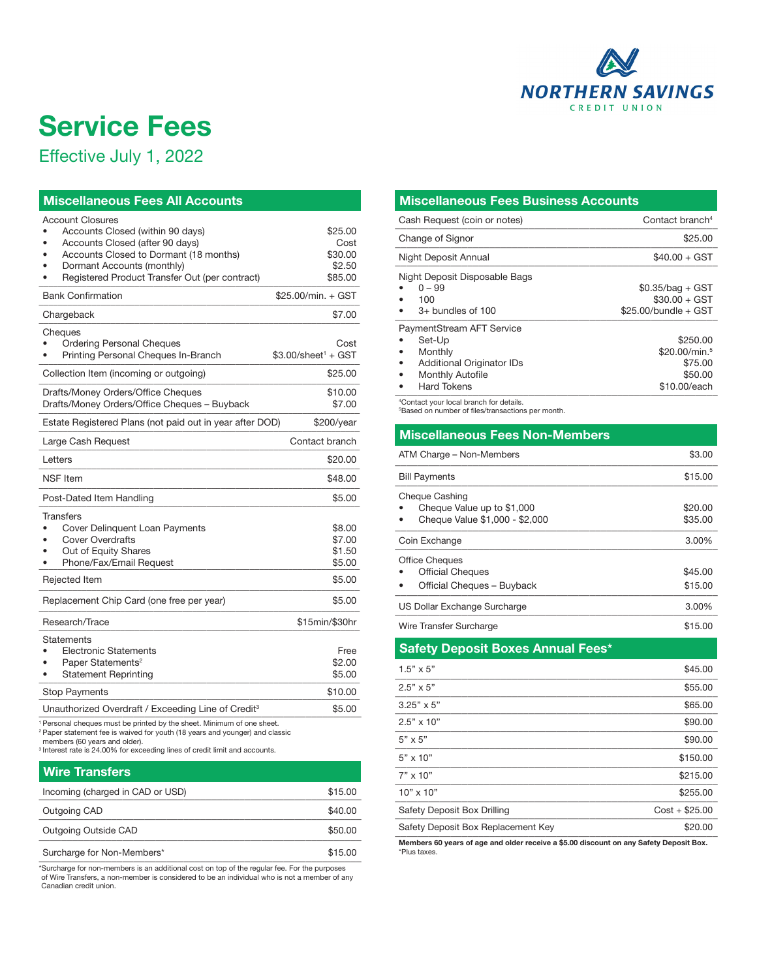

## Service Fees

Effective July 1, 2022

| <b>Miscellaneous Fees All Accounts</b>                                                                                                                                                                                                                                                     |                                                 |  |  |  |  |
|--------------------------------------------------------------------------------------------------------------------------------------------------------------------------------------------------------------------------------------------------------------------------------------------|-------------------------------------------------|--|--|--|--|
| <b>Account Closures</b><br>Accounts Closed (within 90 days)<br>Accounts Closed (after 90 days)<br>Accounts Closed to Dormant (18 months)<br>Dormant Accounts (monthly)<br>Registered Product Transfer Out (per contract)                                                                   | \$25.00<br>Cost<br>\$30.00<br>\$2.50<br>\$85.00 |  |  |  |  |
| \$25,00/min. + GST<br><b>Bank Confirmation</b>                                                                                                                                                                                                                                             |                                                 |  |  |  |  |
| Chargeback                                                                                                                                                                                                                                                                                 | \$7.00                                          |  |  |  |  |
| Cheques<br><b>Ordering Personal Cheques</b><br>Printing Personal Cheques In-Branch                                                                                                                                                                                                         | Cost<br>$$3.00/s$ heet $1 + GST$                |  |  |  |  |
| Collection Item (incoming or outgoing)                                                                                                                                                                                                                                                     | \$25.00                                         |  |  |  |  |
| Drafts/Money Orders/Office Cheques<br>Drafts/Money Orders/Office Cheques - Buyback                                                                                                                                                                                                         | \$10.00<br>\$7.00                               |  |  |  |  |
| Estate Registered Plans (not paid out in year after DOD)                                                                                                                                                                                                                                   | \$200/year                                      |  |  |  |  |
| Large Cash Request                                                                                                                                                                                                                                                                         | Contact branch                                  |  |  |  |  |
| Letters                                                                                                                                                                                                                                                                                    | \$20.00                                         |  |  |  |  |
| <b>NSF</b> Item                                                                                                                                                                                                                                                                            | \$48.00                                         |  |  |  |  |
| Post-Dated Item Handling                                                                                                                                                                                                                                                                   | \$5.00                                          |  |  |  |  |
| <b>Transfers</b><br>Cover Delinquent Loan Payments<br><b>Cover Overdrafts</b><br>Out of Equity Shares<br>Phone/Fax/Email Request<br>Rejected Item                                                                                                                                          | \$8.00<br>\$7.00<br>\$1.50<br>\$5.00<br>\$5.00  |  |  |  |  |
| Replacement Chip Card (one free per year)                                                                                                                                                                                                                                                  | \$5.00                                          |  |  |  |  |
| Research/Trace                                                                                                                                                                                                                                                                             | \$15min/\$30hr                                  |  |  |  |  |
| Statements<br><b>Electronic Statements</b><br>Paper Statements <sup>2</sup><br><b>Statement Reprinting</b>                                                                                                                                                                                 | Free<br>\$2.00<br>\$5.00                        |  |  |  |  |
| <b>Stop Payments</b>                                                                                                                                                                                                                                                                       | \$10.00                                         |  |  |  |  |
| Unauthorized Overdraft / Exceeding Line of Credit <sup>3</sup>                                                                                                                                                                                                                             | \$5.00                                          |  |  |  |  |
| Personal cheques must be printed by the sheet. Minimum of one sheet.<br><sup>2</sup> Paper statement fee is waived for youth (18 years and younger) and classic<br>members (60 years and older).<br><sup>3</sup> Interest rate is 24.00% for exceeding lines of credit limit and accounts. |                                                 |  |  |  |  |

| <b>Wire Transfers</b>            |         |
|----------------------------------|---------|
| Incoming (charged in CAD or USD) | \$15.00 |
| Outgoing CAD                     | \$40.00 |
| Outgoing Outside CAD             | \$50.00 |
| Surcharge for Non-Members*       | \$15.00 |

Surcharge for Non-Members\* \$15.00<br>
"Surcharge for non-members is an additional cost on top of the regular fee. For the purposes<br>
of Wire Transfers, a non-member is considered to be an individual who is not a member of any Canadian credit union.

## Miscellaneous Fees Business Accounts

| Cash Request (coin or notes)                                                                                                        | Contact branch <sup>4</sup>                                        |
|-------------------------------------------------------------------------------------------------------------------------------------|--------------------------------------------------------------------|
| Change of Signor                                                                                                                    | \$25.00                                                            |
| Night Deposit Annual                                                                                                                | $$40.00 + GST$                                                     |
| Night Deposit Disposable Bags<br>$0 - 99$<br>100<br>$3+$ bundles of 100                                                             | $$0.35/bag + GST$<br>$$30.00 + GST$<br>$$25.00/b$ undle + GST      |
| PaymentStream AFT Service<br>Set-Up<br>Monthly<br><b>Additional Originator IDs</b><br><b>Monthly Autofile</b><br><b>Hard Tokens</b> | \$250.00<br>\$20,00/min. $5$<br>\$75.00<br>\$50.00<br>\$10,00/each |

4 Contact your local branch for details.

5 Based on number of files/transactions per month.

| <b>Miscellaneous Fees Non-Members</b>                                          |                    |  |  |
|--------------------------------------------------------------------------------|--------------------|--|--|
| ATM Charge – Non-Members                                                       | \$3.00             |  |  |
| <b>Bill Payments</b>                                                           | \$15.00            |  |  |
| Cheque Cashing<br>Cheque Value up to \$1,000<br>Cheque Value \$1,000 - \$2,000 | \$20.00<br>\$35.00 |  |  |
| Coin Exchange                                                                  | 3.00%              |  |  |
| <b>Office Cheques</b><br><b>Official Cheques</b><br>Official Cheques - Buyback | \$45.00<br>\$15.00 |  |  |
| US Dollar Exchange Surcharge                                                   | 3.00%              |  |  |
| Wire Transfer Surcharge<br>\$15.00                                             |                    |  |  |

Safety Deposit Boxes Annual Fees\*

| Members 60 years of age and older receive a \$5.00 discount on any Safety Deposit Box. |                 |  |  |  |
|----------------------------------------------------------------------------------------|-----------------|--|--|--|
| Safety Deposit Box Replacement Key                                                     | \$20.00         |  |  |  |
| Safety Deposit Box Drilling                                                            | $Cost + $25.00$ |  |  |  |
| $10" \times 10"$                                                                       | \$255.00        |  |  |  |
| $7" \times 10"$                                                                        | \$215.00        |  |  |  |
| $5" \times 10"$                                                                        | \$150.00        |  |  |  |
| $5" \times 5"$                                                                         | \$90.00         |  |  |  |
| $2.5" \times 10"$                                                                      | \$90.00         |  |  |  |
| $3.25" \times 5"$                                                                      | \$65.00         |  |  |  |
| $2.5" \times 5"$                                                                       | \$55.00         |  |  |  |
| $1.5" \times 5"$                                                                       | \$45.00         |  |  |  |

\*Plus taxes.